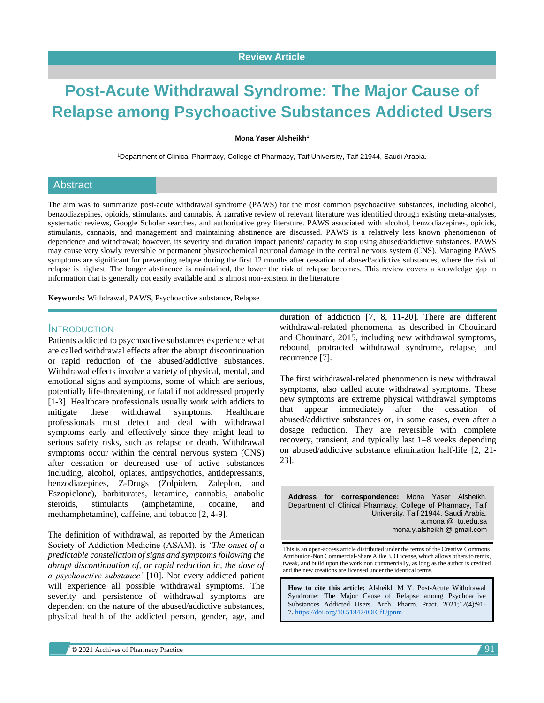# **Post-Acute Withdrawal Syndrome: The Major Cause of Relapse among Psychoactive Substances Addicted Users**

#### **Mona Yaser Alsheikh<sup>1</sup>**

<sup>1</sup>Department of Clinical Pharmacy, College of Pharmacy, Taif University, Taif 21944, Saudi Arabia.

#### **Abstract**

The aim was to summarize post-acute withdrawal syndrome (PAWS) for the most common psychoactive substances, including alcohol, benzodiazepines, opioids, stimulants, and cannabis. A narrative review of relevant literature was identified through existing meta-analyses, systematic reviews, Google Scholar searches, and authoritative grey literature. PAWS associated with alcohol, benzodiazepines, opioids, stimulants, cannabis, and management and maintaining abstinence are discussed. PAWS is a relatively less known phenomenon of dependence and withdrawal; however, its severity and duration impact patients' capacity to stop using abused/addictive substances. PAWS may cause very slowly reversible or permanent physicochemical neuronal damage in the central nervous system (CNS). Managing PAWS symptoms are significant for preventing relapse during the first 12 months after cessation of abused/addictive substances, where the risk of relapse is highest. The longer abstinence is maintained, the lower the risk of relapse becomes. This review covers a knowledge gap in information that is generally not easily available and is almost non-existent in the literature.

**Keywords:** Withdrawal, PAWS, Psychoactive substance, Relapse

## INTRODUCTION

Patients addicted to psychoactive substances experience what are called withdrawal effects after the abrupt discontinuation or rapid reduction of the abused/addictive substances. Withdrawal effects involve a variety of physical, mental, and emotional signs and symptoms, some of which are serious, potentially life-threatening, or fatal if not addressed properly [1-3]. Healthcare professionals usually work with addicts to mitigate these withdrawal symptoms. Healthcare professionals must detect and deal with withdrawal symptoms early and effectively since they might lead to serious safety risks, such as relapse or death. Withdrawal symptoms occur within the central nervous system (CNS) after cessation or decreased use of active substances including, alcohol, opiates, antipsychotics, antidepressants, benzodiazepines, Z-Drugs (Zolpidem, Zaleplon, and Eszopiclone), barbiturates, ketamine, cannabis, anabolic steroids, stimulants (amphetamine, cocaine, and methamphetamine), caffeine, and tobacco [2, 4-9].

The definition of withdrawal, as reported by the American Society of Addiction Medicine (ASAM), is '*The onset of a predictable constellation of signs and symptoms following the abrupt discontinuation of, or rapid reduction in, the dose of a psychoactive substance'* [10]. Not every addicted patient will experience all possible withdrawal symptoms. The severity and persistence of withdrawal symptoms are dependent on the nature of the abused/addictive substances, physical health of the addicted person, gender, age, and

duration of addiction [7, 8, 11-20]. There are different withdrawal-related phenomena, as described in Chouinard and Chouinard, 2015, including new withdrawal symptoms, rebound, protracted withdrawal syndrome, relapse, and recurrence [7].

The first withdrawal-related phenomenon is new withdrawal symptoms, also called acute withdrawal symptoms. These new symptoms are extreme physical withdrawal symptoms that appear immediately after the cessation of abused/addictive substances or, in some cases, even after a dosage reduction. They are reversible with complete recovery, transient, and typically last 1–8 weeks depending on abused/addictive substance elimination half-life [2, 21- 23].

**Address for correspondence:** Mona Yaser Alsheikh, Department of Clinical Pharmacy, College of Pharmacy, Taif University, Taif 21944, Saudi Arabia. a.mona @ tu.edu.sa mona.y.alsheikh @ gmail.com

This is an open-access article distributed under the terms of the Creative Commons Attribution-Non Commercial-Share Alike 3.0 License, which allows others to remix, tweak, and build upon the work non commercially, as long as the author is credited and the new creations are licensed under the identical terms.

**How to cite this article:** Alsheikh M Y. Post-Acute Withdrawal Syndrome: The Major Cause of Relapse among Psychoactive Substances Addicted Users. Arch. Pharm. Pract. 2021;12(4):91- 7. <https://doi.org/10.51847/iOICfUjpnm>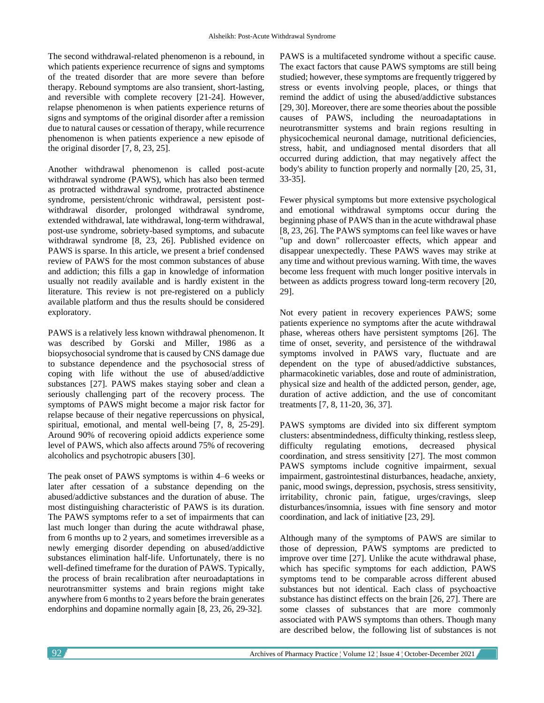The second withdrawal-related phenomenon is a rebound, in which patients experience recurrence of signs and symptoms of the treated disorder that are more severe than before therapy. Rebound symptoms are also transient, short-lasting, and reversible with complete recovery [21-24]. However, relapse phenomenon is when patients experience returns of signs and symptoms of the original disorder after a remission due to natural causes or cessation of therapy, while recurrence phenomenon is when patients experience a new episode of the original disorder [7, 8, 23, 25].

Another withdrawal phenomenon is called post-acute withdrawal syndrome (PAWS), which has also been termed as protracted withdrawal syndrome, protracted abstinence syndrome, persistent/chronic withdrawal, persistent postwithdrawal disorder, prolonged withdrawal syndrome, extended withdrawal, late withdrawal, long-term withdrawal, post-use syndrome, sobriety-based symptoms, and subacute withdrawal syndrome [8, 23, 26]. Published evidence on PAWS is sparse. In this article, we present a brief condensed review of PAWS for the most common substances of abuse and addiction; this fills a gap in knowledge of information usually not readily available and is hardly existent in the literature. This review is not pre-registered on a publicly available platform and thus the results should be considered exploratory.

PAWS is a relatively less known withdrawal phenomenon. It was described by Gorski and Miller, 1986 as a biopsychosocial syndrome that is caused by CNS damage due to substance dependence and the psychosocial stress of coping with life without the use of abused/addictive substances [27]. PAWS makes staying sober and clean a seriously challenging part of the recovery process. The symptoms of PAWS might become a major risk factor for relapse because of their negative repercussions on physical, spiritual, emotional, and mental well-being [7, 8, 25-29]. Around 90% of recovering opioid addicts experience some level of PAWS, which also affects around 75% of recovering alcoholics and psychotropic abusers [30].

The peak onset of PAWS symptoms is within 4–6 weeks or later after cessation of a substance depending on the abused/addictive substances and the duration of abuse. The most distinguishing characteristic of PAWS is its duration. The PAWS symptoms refer to a set of impairments that can last much longer than during the acute withdrawal phase, from 6 months up to 2 years, and sometimes irreversible as a newly emerging disorder depending on abused/addictive substances elimination half-life. Unfortunately, there is no well-defined timeframe for the duration of PAWS. Typically, the process of brain recalibration after neuroadaptations in neurotransmitter systems and brain regions might take anywhere from 6 months to 2 years before the brain generates endorphins and dopamine normally again [8, 23, 26, 29-32].

PAWS is a multifaceted syndrome without a specific cause. The exact factors that cause PAWS symptoms are still being studied; however, these symptoms are frequently triggered by stress or events involving people, places, or things that remind the addict of using the abused/addictive substances [29, 30]. Moreover, there are some theories about the possible causes of PAWS, including the neuroadaptations in neurotransmitter systems and brain regions resulting in physicochemical neuronal damage, nutritional deficiencies, stress, habit, and undiagnosed mental disorders that all occurred during addiction, that may negatively affect the body's ability to function properly and normally [20, 25, 31, 33-35].

Fewer physical symptoms but more extensive psychological and emotional withdrawal symptoms occur during the beginning phase of PAWS than in the acute withdrawal phase [8, 23, 26]. The PAWS symptoms can feel like waves or have "up and down" rollercoaster effects, which appear and disappear unexpectedly. These PAWS waves may strike at any time and without previous warning. With time, the waves become less frequent with much longer positive intervals in between as addicts progress toward long-term recovery [20, 29].

Not every patient in recovery experiences PAWS; some patients experience no symptoms after the acute withdrawal phase, whereas others have persistent symptoms [26]. The time of onset, severity, and persistence of the withdrawal symptoms involved in PAWS vary, fluctuate and are dependent on the type of abused/addictive substances, pharmacokinetic variables, dose and route of administration, physical size and health of the addicted person, gender, age, duration of active addiction, and the use of concomitant treatments [7, 8, 11-20, 36, 37].

PAWS symptoms are divided into six different symptom clusters: absentmindedness, difficulty thinking, restless sleep, difficulty regulating emotions, decreased physical coordination, and stress sensitivity [27]. The most common PAWS symptoms include cognitive impairment, sexual impairment, gastrointestinal disturbances, headache, anxiety, panic, mood swings, depression, psychosis, stress sensitivity, irritability, chronic pain, fatigue, urges/cravings, sleep disturbances/insomnia, issues with fine sensory and motor coordination, and lack of initiative [23, 29].

Although many of the symptoms of PAWS are similar to those of depression, PAWS symptoms are predicted to improve over time [27]. Unlike the acute withdrawal phase, which has specific symptoms for each addiction, PAWS symptoms tend to be comparable across different abused substances but not identical. Each class of psychoactive substance has distinct effects on the brain [26, 27]. There are some classes of substances that are more commonly associated with PAWS symptoms than others. Though many are described below, the following list of substances is not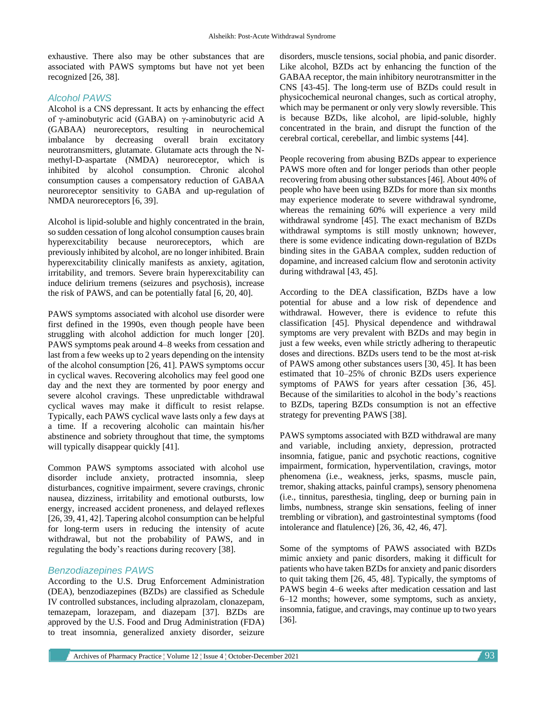exhaustive. There also may be other substances that are associated with PAWS symptoms but have not yet been recognized [26, 38].

## *Alcohol PAWS*

Alcohol is a CNS depressant. It acts by enhancing the effect of γ-aminobutyric acid (GABA) on γ-aminobutyric acid A (GABAA) neuroreceptors, resulting in neurochemical imbalance by decreasing overall brain excitatory neurotransmitters, glutamate. Glutamate acts through the Nmethyl-D-aspartate (NMDA) neuroreceptor, which is inhibited by alcohol consumption. Chronic alcohol consumption causes a compensatory reduction of GABAA neuroreceptor sensitivity to GABA and up-regulation of NMDA neuroreceptors [6, 39].

Alcohol is lipid-soluble and highly concentrated in the brain, so sudden cessation of long alcohol consumption causes brain hyperexcitability because neuroreceptors, which are previously inhibited by alcohol, are no longer inhibited. Brain hyperexcitability clinically manifests as anxiety, agitation, irritability, and tremors. Severe brain hyperexcitability can induce delirium tremens (seizures and psychosis), increase the risk of PAWS, and can be potentially fatal [6, 20, 40].

PAWS symptoms associated with alcohol use disorder were first defined in the 1990s, even though people have been struggling with alcohol addiction for much longer [20]. PAWS symptoms peak around 4–8 weeks from cessation and last from a few weeks up to 2 years depending on the intensity of the alcohol consumption [26, 41]. PAWS symptoms occur in cyclical waves. Recovering alcoholics may feel good one day and the next they are tormented by poor energy and severe alcohol cravings. These unpredictable withdrawal cyclical waves may make it difficult to resist relapse. Typically, each PAWS cyclical wave lasts only a few days at a time. If a recovering alcoholic can maintain his/her abstinence and sobriety throughout that time, the symptoms will typically disappear quickly [41].

Common PAWS symptoms associated with alcohol use disorder include anxiety, protracted insomnia, sleep disturbances, cognitive impairment, severe cravings, chronic nausea, dizziness, irritability and emotional outbursts, low energy, increased accident proneness, and delayed reflexes [26, 39, 41, 42]. Tapering alcohol consumption can be helpful for long-term users in reducing the intensity of acute withdrawal, but not the probability of PAWS, and in regulating the body's reactions during recovery [38].

## *Benzodiazepines PAWS*

According to the U.S. Drug Enforcement Administration (DEA), benzodiazepines (BZDs) are classified as Schedule IV controlled substances, including alprazolam, clonazepam, temazepam, lorazepam, and diazepam [37]. BZDs are approved by the U.S. Food and Drug Administration (FDA) to treat insomnia, generalized anxiety disorder, seizure disorders, muscle tensions, social phobia, and panic disorder. Like alcohol, BZDs act by enhancing the function of the GABAA receptor, the main inhibitory neurotransmitter in the CNS [43-45]. The long-term use of BZDs could result in physicochemical neuronal changes, such as cortical atrophy, which may be permanent or only very slowly reversible. This is because BZDs, like alcohol, are lipid-soluble, highly concentrated in the brain, and disrupt the function of the cerebral cortical, cerebellar, and limbic systems [44].

People recovering from abusing BZDs appear to experience PAWS more often and for longer periods than other people recovering from abusing other substances [46]. About 40% of people who have been using BZDs for more than six months may experience moderate to severe withdrawal syndrome, whereas the remaining 60% will experience a very mild withdrawal syndrome [45]. The exact mechanism of BZDs withdrawal symptoms is still mostly unknown; however, there is some evidence indicating down-regulation of BZDs binding sites in the GABAA complex, sudden reduction of dopamine, and increased calcium flow and serotonin activity during withdrawal [43, 45].

According to the DEA classification, BZDs have a low potential for abuse and a low risk of dependence and withdrawal. However, there is evidence to refute this classification [45]. Physical dependence and withdrawal symptoms are very prevalent with BZDs and may begin in just a few weeks, even while strictly adhering to therapeutic doses and directions. BZDs users tend to be the most at-risk of PAWS among other substances users [30, 45]. It has been estimated that 10–25% of chronic BZDs users experience symptoms of PAWS for years after cessation [36, 45]. Because of the similarities to alcohol in the body's reactions to BZDs, tapering BZDs consumption is not an effective strategy for preventing PAWS [38].

PAWS symptoms associated with BZD withdrawal are many and variable, including anxiety, depression, protracted insomnia, fatigue, panic and psychotic reactions, cognitive impairment, formication, hyperventilation, cravings, motor phenomena (i.e., weakness, jerks, spasms, muscle pain, tremor, shaking attacks, painful cramps), sensory phenomena (i.e., tinnitus, paresthesia, tingling, deep or burning pain in limbs, numbness, strange skin sensations, feeling of inner trembling or vibration), and gastrointestinal symptoms (food intolerance and flatulence) [26, 36, 42, 46, 47].

Some of the symptoms of PAWS associated with BZDs mimic anxiety and panic disorders, making it difficult for patients who have taken BZDs for anxiety and panic disorders to quit taking them [26, 45, 48]. Typically, the symptoms of PAWS begin 4–6 weeks after medication cessation and last 6–12 months; however, some symptoms, such as anxiety, insomnia, fatigue, and cravings, may continue up to two years [36].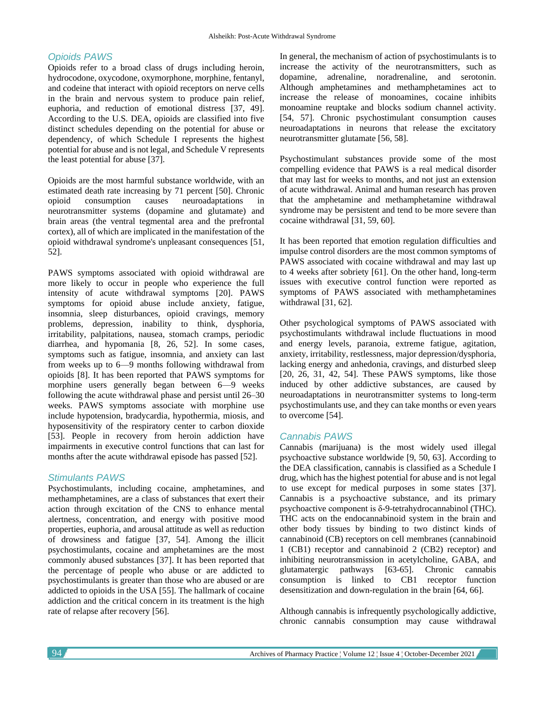## *Opioids PAWS*

Opioids refer to a broad class of drugs including heroin, hydrocodone, oxycodone, oxymorphone, morphine, fentanyl, and codeine that interact with opioid receptors on nerve cells in the brain and nervous system to produce pain relief, euphoria, and reduction of emotional distress [37, 49]. According to the U.S. DEA, opioids are classified into five distinct schedules depending on the potential for abuse or dependency, of which Schedule I represents the highest potential for abuse and is not legal, and Schedule V represents the least potential for abuse [37].

Opioids are the most harmful substance worldwide, with an estimated death rate increasing by 71 percent [50]. Chronic opioid consumption causes neuroadaptations in neurotransmitter systems (dopamine and glutamate) and brain areas (the ventral tegmental area and the prefrontal cortex), all of which are implicated in the manifestation of the opioid withdrawal syndrome's unpleasant consequences [51, 52].

PAWS symptoms associated with opioid withdrawal are more likely to occur in people who experience the full intensity of acute withdrawal symptoms [20]. PAWS symptoms for opioid abuse include anxiety, fatigue, insomnia, sleep disturbances, opioid cravings, memory problems, depression, inability to think, dysphoria, irritability, palpitations, nausea, stomach cramps, periodic diarrhea, and hypomania [8, 26, 52]. In some cases, symptoms such as fatigue, insomnia, and anxiety can last from weeks up to 6—9 months following withdrawal from opioids [8]. It has been reported that PAWS symptoms for morphine users generally began between 6—9 weeks following the acute withdrawal phase and persist until 26–30 weeks. PAWS symptoms associate with morphine use include hypotension, bradycardia, hypothermia, miosis, and hyposensitivity of the respiratory center to carbon dioxide [53]. People in recovery from heroin addiction have impairments in executive control functions that can last for months after the acute withdrawal episode has passed [52].

## *Stimulants PAWS*

Psychostimulants, including cocaine, amphetamines, and methamphetamines, are a class of substances that exert their action through excitation of the CNS to enhance mental alertness, concentration, and energy with positive mood properties, euphoria, and arousal attitude as well as reduction of drowsiness and fatigue [37, 54]. Among the illicit psychostimulants, cocaine and amphetamines are the most commonly abused substances [37]. It has been reported that the percentage of people who abuse or are addicted to psychostimulants is greater than those who are abused or are addicted to opioids in the USA [55]. The hallmark of cocaine addiction and the critical concern in its treatment is the high rate of relapse after recovery [56].

In general, the mechanism of action of psychostimulants is to increase the activity of the neurotransmitters, such as dopamine, adrenaline, noradrenaline, and serotonin. Although amphetamines and methamphetamines act to increase the release of monoamines, cocaine inhibits monoamine reuptake and blocks sodium channel activity. [54, 57]. Chronic psychostimulant consumption causes neuroadaptations in neurons that release the excitatory neurotransmitter glutamate [56, 58].

Psychostimulant substances provide some of the most compelling evidence that PAWS is a real medical disorder that may last for weeks to months, and not just an extension of acute withdrawal. Animal and human research has proven that the amphetamine and methamphetamine withdrawal syndrome may be persistent and tend to be more severe than cocaine withdrawal [31, 59, 60].

It has been reported that emotion regulation difficulties and impulse control disorders are the most common symptoms of PAWS associated with cocaine withdrawal and may last up to 4 weeks after sobriety [61]. On the other hand, long-term issues with executive control function were reported as symptoms of PAWS associated with methamphetamines withdrawal [31, 62].

Other psychological symptoms of PAWS associated with psychostimulants withdrawal include fluctuations in mood and energy levels, paranoia, extreme fatigue, agitation, anxiety, irritability, restlessness, major depression/dysphoria, lacking energy and anhedonia, cravings, and disturbed sleep [20, 26, 31, 42, 54]. These PAWS symptoms, like those induced by other addictive substances, are caused by neuroadaptations in neurotransmitter systems to long-term psychostimulants use, and they can take months or even years to overcome [54].

## *Cannabis PAWS*

Cannabis (marijuana) is the most widely used illegal psychoactive substance worldwide [9, 50, 63]. According to the DEA classification, cannabis is classified as a Schedule I drug, which has the highest potential for abuse and is not legal to use except for medical purposes in some states [37]. Cannabis is a psychoactive substance, and its primary psychoactive component is δ-9-tetrahydrocannabinol (THC). THC acts on the endocannabinoid system in the brain and other body tissues by binding to two distinct kinds of cannabinoid (CB) receptors on cell membranes (cannabinoid 1 (CB1) receptor and cannabinoid 2 (CB2) receptor) and inhibiting neurotransmission in acetylcholine, GABA, and glutamatergic pathways [63-65]. Chronic cannabis consumption is linked to CB1 receptor function desensitization and down-regulation in the brain [64, 66].

Although cannabis is infrequently psychologically addictive, chronic cannabis consumption may cause withdrawal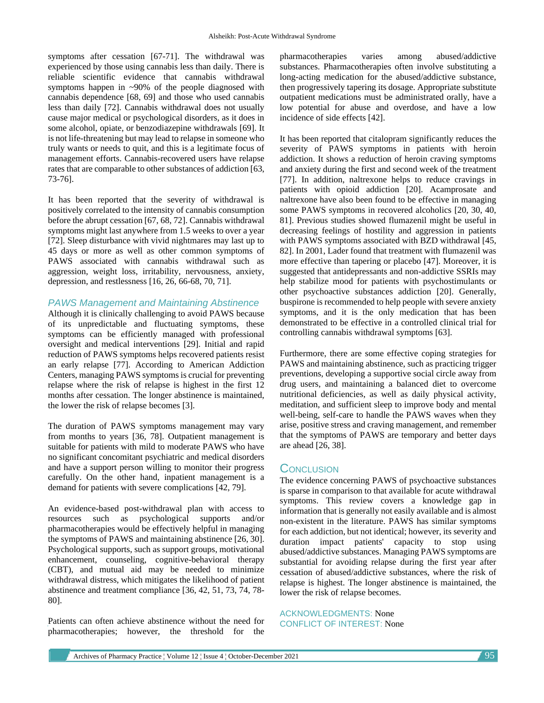symptoms after cessation [67-71]. The withdrawal was experienced by those using cannabis less than daily. There is reliable scientific evidence that cannabis withdrawal symptoms happen in ~90% of the people diagnosed with cannabis dependence [68, 69] and those who used cannabis less than daily [72]. Cannabis withdrawal does not usually cause major medical or psychological disorders, as it does in some alcohol, opiate, or benzodiazepine withdrawals [69]. It is not life-threatening but may lead to relapse in someone who truly wants or needs to quit, and this is a legitimate focus of management efforts. Cannabis-recovered users have relapse rates that are comparable to other substances of addiction [63, 73-76].

It has been reported that the severity of withdrawal is positively correlated to the intensity of cannabis consumption before the abrupt cessation [67, 68, 72]. Cannabis withdrawal symptoms might last anywhere from 1.5 weeks to over a year [72]. Sleep disturbance with vivid nightmares may last up to 45 days or more as well as other common symptoms of PAWS associated with cannabis withdrawal such as aggression, weight loss, irritability, nervousness, anxiety, depression, and restlessness [16, 26, 66-68, 70, 71].

#### *PAWS Management and Maintaining Abstinence*

Although it is clinically challenging to avoid PAWS because of its unpredictable and fluctuating symptoms, these symptoms can be efficiently managed with professional oversight and medical interventions [29]. Initial and rapid reduction of PAWS symptoms helps recovered patients resist an early relapse [77]. According to American Addiction Centers, managing PAWS symptoms is crucial for preventing relapse where the risk of relapse is highest in the first 12 months after cessation. The longer abstinence is maintained, the lower the risk of relapse becomes [3].

The duration of PAWS symptoms management may vary from months to years [36, 78]. Outpatient management is suitable for patients with mild to moderate PAWS who have no significant concomitant psychiatric and medical disorders and have a support person willing to monitor their progress carefully. On the other hand, inpatient management is a demand for patients with severe complications [42, 79].

An evidence-based post-withdrawal plan with access to resources such as psychological supports and/or pharmacotherapies would be effectively helpful in managing the symptoms of PAWS and maintaining abstinence [26, 30]. Psychological supports, such as support groups, motivational enhancement, counseling, cognitive-behavioral therapy (CBT), and mutual aid may be needed to minimize withdrawal distress, which mitigates the likelihood of patient abstinence and treatment compliance [36, 42, 51, 73, 74, 78- 80].

Patients can often achieve abstinence without the need for pharmacotherapies; however, the threshold for the pharmacotherapies varies among abused/addictive substances. Pharmacotherapies often involve substituting a long-acting medication for the abused/addictive substance, then progressively tapering its dosage. Appropriate substitute outpatient medications must be administrated orally, have a low potential for abuse and overdose, and have a low incidence of side effects [42].

It has been reported that citalopram significantly reduces the severity of PAWS symptoms in patients with heroin addiction. It shows a reduction of heroin craving symptoms and anxiety during the first and second week of the treatment [77]. In addition, naltrexone helps to reduce cravings in patients with opioid addiction [20]. Acamprosate and naltrexone have also been found to be effective in managing some PAWS symptoms in recovered alcoholics [20, 30, 40, 81]. Previous studies showed flumazenil might be useful in decreasing feelings of hostility and aggression in patients with PAWS symptoms associated with BZD withdrawal [45, 82]. In 2001, Lader found that treatment with flumazenil was more effective than tapering or placebo [47]. Moreover, it is suggested that antidepressants and non-addictive SSRIs may help stabilize mood for patients with psychostimulants or other psychoactive substances addiction [20]. Generally, buspirone is recommended to help people with severe anxiety symptoms, and it is the only medication that has been demonstrated to be effective in a controlled clinical trial for controlling cannabis withdrawal symptoms [63].

Furthermore, there are some effective coping strategies for PAWS and maintaining abstinence, such as practicing trigger preventions, developing a supportive social circle away from drug users, and maintaining a balanced diet to overcome nutritional deficiencies, as well as daily physical activity, meditation, and sufficient sleep to improve body and mental well-being, self-care to handle the PAWS waves when they arise, positive stress and craving management, and remember that the symptoms of PAWS are temporary and better days are ahead [26, 38].

## **CONCLUSION**

The evidence concerning PAWS of psychoactive substances is sparse in comparison to that available for acute withdrawal symptoms. This review covers a knowledge gap in information that is generally not easily available and is almost non-existent in the literature. PAWS has similar symptoms for each addiction, but not identical; however, its severity and duration impact patients' capacity to stop using abused/addictive substances. Managing PAWS symptoms are substantial for avoiding relapse during the first year after cessation of abused/addictive substances, where the risk of relapse is highest. The longer abstinence is maintained, the lower the risk of relapse becomes.

ACKNOWLEDGMENTS: None CONFLICT OF INTEREST: None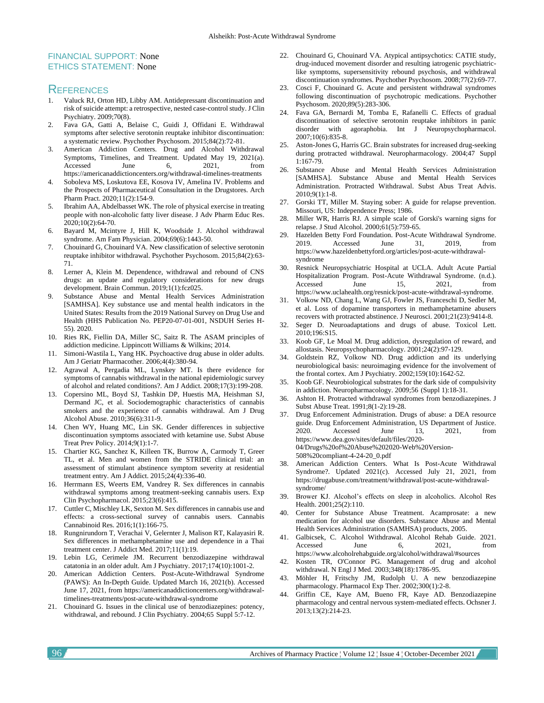#### FINANCIAL SUPPORT: None ETHICS STATEMENT: None

#### **REFERENCES**

- 1. Valuck RJ, Orton HD, Libby AM. Antidepressant discontinuation and risk of suicide attempt: a retrospective, nested case-control study. J Clin Psychiatry. 2009;70(8).
- 2. Fava GA, Gatti A, Belaise C, Guidi J, Offidani E. Withdrawal symptoms after selective serotonin reuptake inhibitor discontinuation: a systematic review. Psychother Psychosom. 2015;84(2):72-81.
- 3. American Addiction Centers. Drug and Alcohol Withdrawal Symptoms, Timelines, and Treatment. Updated May 19, 2021(a). Accessed June 6, 2021, from https://americanaddictioncenters.org/withdrawal-timelines-treatments
- 4. Soboleva MS, Loskutova EE, Kosova IV, Amelina IV. Problems and the Prospects of Pharmaceutical Consultation in the Drugstores. Arch Pharm Pract. 2020;11(2):154-9.
- 5. Ibrahim AA, Abdelbasset WK. The role of physical exercise in treating people with non-alcoholic fatty liver disease. J Adv Pharm Educ Res. 2020;10(2):64-70.
- 6. Bayard M, Mcintyre J, Hill K, Woodside J. Alcohol withdrawal syndrome. Am Fam Physician. 2004;69(6):1443-50.
- 7. Chouinard G, Chouinard VA. New classification of selective serotonin reuptake inhibitor withdrawal. Psychother Psychosom. 2015;84(2):63- 71.
- 8. Lerner A, Klein M. Dependence, withdrawal and rebound of CNS drugs: an update and regulatory considerations for new drugs development. Brain Commun. 2019;1(1):fcz025.
- 9. Substance Abuse and Mental Health Services Administration [SAMHSA]. Key substance use and mental health indicators in the United States: Results from the 2019 National Survey on Drug Use and Health (HHS Publication No. PEP20-07-01-001, NSDUH Series H-55). 2020.
- 10. Ries RK, Fiellin DA, Miller SC, Saitz R. The ASAM principles of addiction medicine. Lippincott Williams & Wilkins; 2014.
- 11. Simoni-Wastila L, Yang HK. Psychoactive drug abuse in older adults. Am J Geriatr Pharmacother. 2006;4(4):380-94.
- 12. Agrawal A, Pergadia ML, Lynskey MT. Is there evidence for symptoms of cannabis withdrawal in the national epidemiologic survey of alcohol and related conditions?. Am J Addict. 2008;17(3):199-208.
- 13. Copersino ML, Boyd SJ, Tashkin DP, Huestis MA, Heishman SJ, Dermand JC, et al. Sociodemographic characteristics of cannabis smokers and the experience of cannabis withdrawal. Am J Drug Alcohol Abuse. 2010;36(6):311-9.
- 14. Chen WY, Huang MC, Lin SK. Gender differences in subjective discontinuation symptoms associated with ketamine use. Subst Abuse Treat Prev Policy. 2014;9(1):1-7.
- 15. Chartier KG, Sanchez K, Killeen TK, Burrow A, Carmody T, Greer TL, et al. Men and women from the STRIDE clinical trial: an assessment of stimulant abstinence symptom severity at residential treatment entry. Am J Addict. 2015;24(4):336-40.
- 16. Herrmann ES, Weerts EM, Vandrey R. Sex differences in cannabis withdrawal symptoms among treatment-seeking cannabis users. Exp Clin Psychopharmacol. 2015;23(6):415.
- 17. Cuttler C, Mischley LK, Sexton M. Sex differences in cannabis use and effects: a cross-sectional survey of cannabis users. Cannabis Cannabinoid Res. 2016;1(1):166-75.
- 18. Rungnirundorn T, Verachai V, Gelernter J, Malison RT, Kalayasiri R. Sex differences in methamphetamine use and dependence in a Thai treatment center. J Addict Med. 2017;11(1):19.
- 19. Lebin LG, Cerimele JM. Recurrent benzodiazepine withdrawal catatonia in an older adult. Am J Psychiatry. 2017;174(10):1001-2.
- 20. American Addiction Centers. Post-Acute-Withdrawal Syndrome (PAWS): An In-Depth Guide. Updated March 16, 2021(b). Accessed June 17, 2021, from https://americanaddictioncenters.org/withdrawaltimelines-treatments/post-acute-withdrawal-syndrome
- 21. Chouinard G. Issues in the clinical use of benzodiazepines: potency, withdrawal, and rebound. J Clin Psychiatry. 2004;65 Suppl 5:7-12.
- 22. Chouinard G, Chouinard VA. Atypical antipsychotics: CATIE study, drug-induced movement disorder and resulting iatrogenic psychiatriclike symptoms, supersensitivity rebound psychosis, and withdrawal discontinuation syndromes. Psychother Psychosom. 2008;77(2):69-77.
- 23. Cosci F, Chouinard G. Acute and persistent withdrawal syndromes following discontinuation of psychotropic medications. Psychother Psychosom. 2020;89(5):283-306.
- 24. Fava GA, Bernardi M, Tomba E, Rafanelli C. Effects of gradual discontinuation of selective serotonin reuptake inhibitors in panic disorder with agoraphobia. Int J Neuropsychopharmacol. 2007;10(6):835-8.
- 25. Aston-Jones G, Harris GC. Brain substrates for increased drug-seeking during protracted withdrawal. Neuropharmacology. 2004;47 Suppl 1:167-79.
- 26. Substance Abuse and Mental Health Services Administration [SAMHSA]. Substance Abuse and Mental Health Services Administration. Protracted Withdrawal. Subst Abus Treat Advis. 2010;9(1):1-8.
- 27. Gorski TT, Miller M. Staying sober: A guide for relapse prevention. Missouri, US: Independence Press; 1986.
- 28. Miller WR, Harris RJ. A simple scale of Gorski's warning signs for relapse. J Stud Alcohol. 2000;61(5):759-65.
- 29. Hazelden Betty Ford Foundation. Post-Acute Withdrawal Syndrome. 2019. Accessed June 31, 2019, from https://www.hazeldenbettyford.org/articles/post-acute-withdrawalsyndrome
- 30. Resnick Neuropsychiatric Hospital at UCLA. Adult Acute Partial Hospitalization Program. Post-Acute Withdrawal Syndrome. (n.d.). Accessed June 15, 2021, from https://www.uclahealth.org/resnick/post-acute-withdrawal-syndrome.
- 31. Volkow ND, Chang L, Wang GJ, Fowler JS, Franceschi D, Sedler M, et al. Loss of dopamine transporters in methamphetamine abusers recovers with protracted abstinence. J Neurosci. 2001;21(23):9414-8.
- 32. Seger D. Neuroadaptations and drugs of abuse. Toxicol Lett. 2010;196:S15.
- 33. Koob GF, Le Moal M. Drug addiction, dysregulation of reward, and allostasis. Neuropsychopharmacology. 2001;24(2):97-129.
- 34. Goldstein RZ, Volkow ND. Drug addiction and its underlying neurobiological basis: neuroimaging evidence for the involvement of the frontal cortex. Am J Psychiatry. 2002;159(10):1642-52.
- 35. Koob GF. Neurobiological substrates for the dark side of compulsivity in addiction. Neuropharmacology. 2009;56 (Suppl 1):18-31.
- 36. Ashton H. Protracted withdrawal syndromes from benzodiazepines. J Subst Abuse Treat. 1991;8(1-2):19-28.
- 37. Drug Enforcement Administration. Drugs of abuse: a DEA resource guide. Drug Enforcement Administration, US Department of Justice. 2020. Accessed June 13, 2021, from https://www.dea.gov/sites/default/files/2020- 04/Drugs%20of%20Abuse%202020-Web%20Version-508%20compliant-4-24-20\_0.pdf
- American Addiction Centers. What Is Post-Acute Withdrawal Syndrome?. Updated 2021(c). Accessed July 21, 2021, from https://drugabuse.com/treatment/withdrawal/post-acute-withdrawalsyndrome/
- 39. Brower KJ. Alcohol's effects on sleep in alcoholics. Alcohol Res Health. 2001;25(2):110.
- 40. Center for Substance Abuse Treatment. Acamprosate: a new medication for alcohol use disorders. Substance Abuse and Mental Health Services Administration (SAMHSA) products, 2005.
- 41. Galbicsek, C. Alcohol Withdrawal. Alcohol Rehab Guide. 2021. Accessed June 6, 2021, from https://www.alcoholrehabguide.org/alcohol/withdrawal/#sources
- 42. Kosten TR, O'Connor PG. Management of drug and alcohol withdrawal. N Engl J Med. 2003;348(18):1786-95.
- 43. Möhler H, Fritschy JM, Rudolph U. A new benzodiazepine pharmacology. Pharmacol Exp Ther. 2002;300(1):2-8.
- 44. Griffin CE, Kaye AM, Bueno FR, Kaye AD. Benzodiazepine pharmacology and central nervous system-mediated effects. Ochsner J. 2013;13(2):214-23.